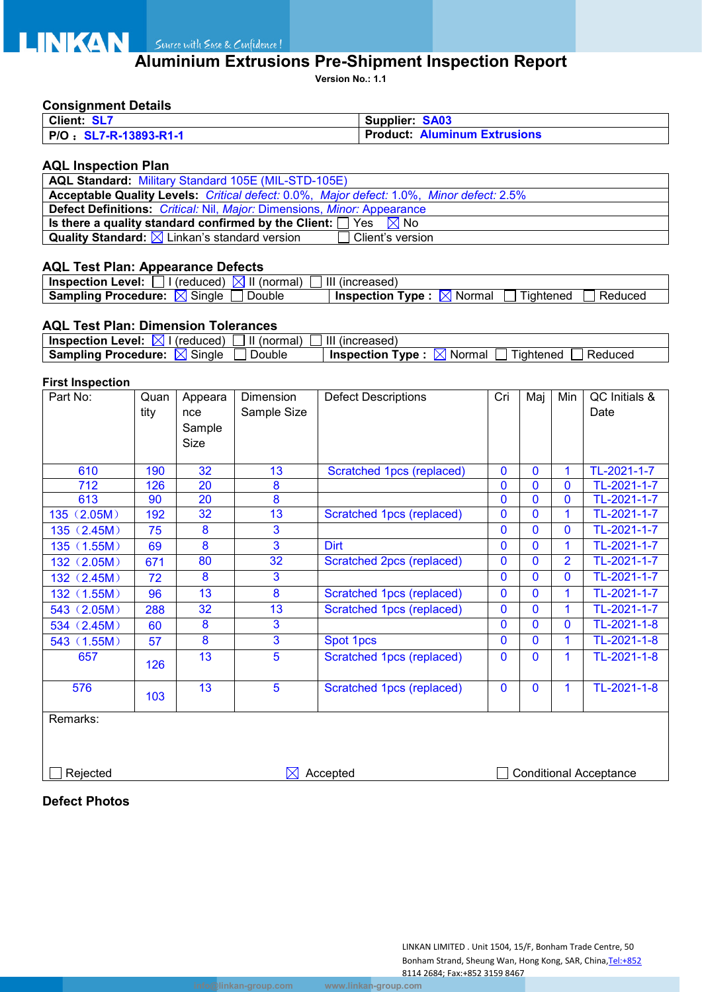# **ALUME AND SURFALL AND SURFALL SURFALL AND ALUMINIUM Extrusions Pre-Shipment Inspection Report**

**Version No.: 1.1**

### **Consignment Details**

| Client: SL7           | Supplier: SA03                      |
|-----------------------|-------------------------------------|
| P/O: SL7-R-13893-R1-1 | <b>Product: Aluminum Extrusions</b> |

#### **AQL Inspection Plan**

| AQL Standard: Military Standard 105E (MIL-STD-105E)                                      |
|------------------------------------------------------------------------------------------|
| Acceptable Quality Levels: Critical defect: 0.0%, Major defect: 1.0%, Minor defect: 2.5% |
| <b>Defect Definitions:</b> Critical: Nil, Major: Dimensions, Minor: Appearance           |
| Is there a quality standard confirmed by the Client: $\Box$ Yes $\boxtimes$ No           |
| Quality Standard: $\boxtimes$ Linkan's standard version<br>Client's version              |

### **AQL Test Plan: Appearance Defects**

| Level:<br><b>Inspection</b><br>(normal)<br>(reduced) | Ш<br>(increased)                                              |
|------------------------------------------------------|---------------------------------------------------------------|
| <b>Sampling Procedure:</b><br>Double<br>Sinale<br>.x | Tvne.<br>Reduced<br>Normal<br><b>Inspection</b><br>! iahtened |

#### **AQL Test Plan: Dimension Tolerances**

| <b>Inspection Level:</b><br>(normal)<br>(reduced)               | (increased)                                                             |
|-----------------------------------------------------------------|-------------------------------------------------------------------------|
| $\sim$<br><b>Sampling Procedure:</b><br>Single<br>Double<br>IX' | --<br>Reduced<br><b>Inspection</b><br>Tvpe<br>Normal<br><b>Idhtened</b> |

#### **First Inspection**

| Part No:    | Quan | Appeara | Dimension      | <b>Defect Descriptions</b> | Cri            | Maj          | Min            | QC Initials &                    |
|-------------|------|---------|----------------|----------------------------|----------------|--------------|----------------|----------------------------------|
|             | tity | nce     | Sample Size    |                            |                |              |                | Date                             |
|             |      | Sample  |                |                            |                |              |                |                                  |
|             |      | Size    |                |                            |                |              |                |                                  |
|             |      |         |                |                            |                |              |                |                                  |
| 610         | 190  | 32      | 13             | Scratched 1pcs (replaced)  | $\mathbf 0$    | $\mathbf{0}$ | 1              | TL-2021-1-7                      |
| 712         | 126  | 20      | 8              |                            | 0              | 0            | $\overline{0}$ | TL-2021-1-7                      |
| 613         | 90   | 20      | 8              |                            | $\mathbf 0$    | $\Omega$     | 0              | TL-2021-1-7                      |
| 135 (2.05M) | 192  | 32      | 13             | Scratched 1pcs (replaced)  | $\mathbf 0$    | $\Omega$     | 1              | TL-2021-1-7                      |
| 135(2.45M)  | 75   | 8       | 3              |                            | $\mathbf 0$    | $\Omega$     | 0              | TL-2021-1-7                      |
| 135 (1.55M) | 69   | 8       | 3              | <b>Dirt</b>                | $\mathbf{0}$   | $\mathbf{0}$ | $\mathbf 1$    | TL-2021-1-7                      |
| 132 (2.05M) | 671  | 80      | 32             | Scratched 2pcs (replaced)  | $\mathbf{0}$   | $\mathbf{0}$ | $\overline{2}$ | TL-2021-1-7                      |
| 132 (2.45M) | 72   | 8       | 3              |                            | $\mathbf{0}$   | $\Omega$     | $\mathbf{0}$   | TL-2021-1-7                      |
| 132 (1.55M) | 96   | 13      | 8              | Scratched 1pcs (replaced)  | $\mathbf{0}$   | $\Omega$     | 1              | $\overline{\text{TL}}$ -2021-1-7 |
| 543 (2.05M) | 288  | 32      | 13             | Scratched 1pcs (replaced)  | $\overline{0}$ | $\mathbf{0}$ | 1              | TL-2021-1-7                      |
| 534 (2.45M) | 60   | 8       | 3              |                            | 0              | $\mathbf{0}$ | 0              | TL-2021-1-8                      |
| 543 (1.55M) | 57   | 8       | $\overline{3}$ | Spot 1pcs                  | $\Omega$       | $\Omega$     | 1              | TL-2021-1-8                      |
| 657         | 126  | 13      | 5              | Scratched 1pcs (replaced)  | $\mathbf 0$    | $\Omega$     | 1              | TL-2021-1-8                      |
| 576         | 103  | 13      | 5              | Scratched 1pcs (replaced)  | $\mathbf{0}$   | $\mathbf{0}$ | 1              | TL-2021-1-8                      |
| Remarks:    |      |         |                |                            |                |              |                |                                  |

Rejected **Accepted** Accepted **Conditional Acceptance** 

**Defect Photos**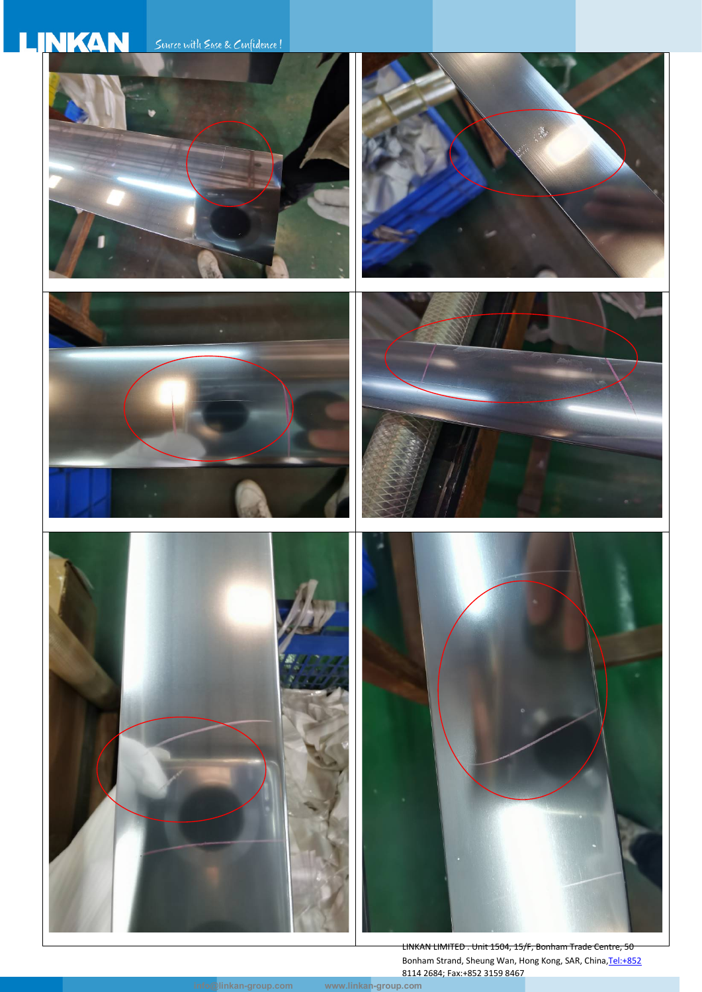

LINKAN LIMITED . Unit 1504, 15/F, Bonham Trade Centre, 50 Bonham Strand, Sheung Wan, Hong Kong, SAR, China, Tel: +852 8114 2684; Fax:+852 3159 8467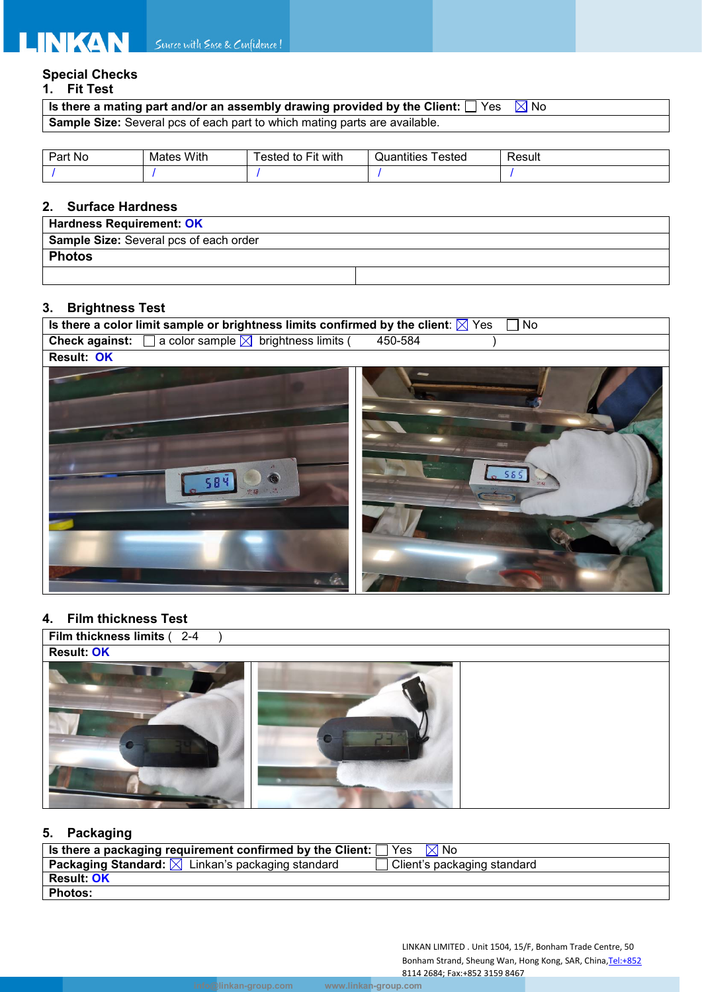# **Special Checks**

**1. Fit Test** 

| Is there a mating part and/or an assembly drawing provided by the Client: $\Box$ Yes $\Box$ No |  |
|------------------------------------------------------------------------------------------------|--|
| Sample Size: Several pcs of each part to which mating parts are available.                     |  |

| Part<br>No | With<br>Mates | $- \cdot$ .<br>.<br>with.<br><b>Fit</b><br>ested<br>to | .<br>Quantities<br>ested | $\overline{\phantom{a}}$<br>Result |
|------------|---------------|--------------------------------------------------------|--------------------------|------------------------------------|
|            |               |                                                        |                          |                                    |

# **2. Surface Hardness**

| <b>Hardness Requirement: OK</b>               |  |
|-----------------------------------------------|--|
| <b>Sample Size:</b> Several pcs of each order |  |
| <b>Photos</b>                                 |  |
|                                               |  |

# **3. Brightness Test**

| Is there a color limit sample or brightness limits confirmed by the client: $\boxtimes$ Yes |         | $\overline{N}$ |
|---------------------------------------------------------------------------------------------|---------|----------------|
| <b>Check against:</b> $\Box$ a color sample $\boxtimes$ brightness limits (                 | 450-584 |                |
| Result: OK                                                                                  |         |                |
| $\alpha = 2$                                                                                |         | 565            |

## **4. Film thickness Test**



## **5. Packaging**

| $^{\prime}$ Is there a packaging requirement confirmed by the Client: $\Box$ Yes $\Box$ No $\Box$ |                             |
|---------------------------------------------------------------------------------------------------|-----------------------------|
| <b>Packaging Standard:</b> $\boxtimes$ Linkan's packaging standard                                | Client's packaging standard |
| <b>Result: OK</b>                                                                                 |                             |
| <b>Photos:</b>                                                                                    |                             |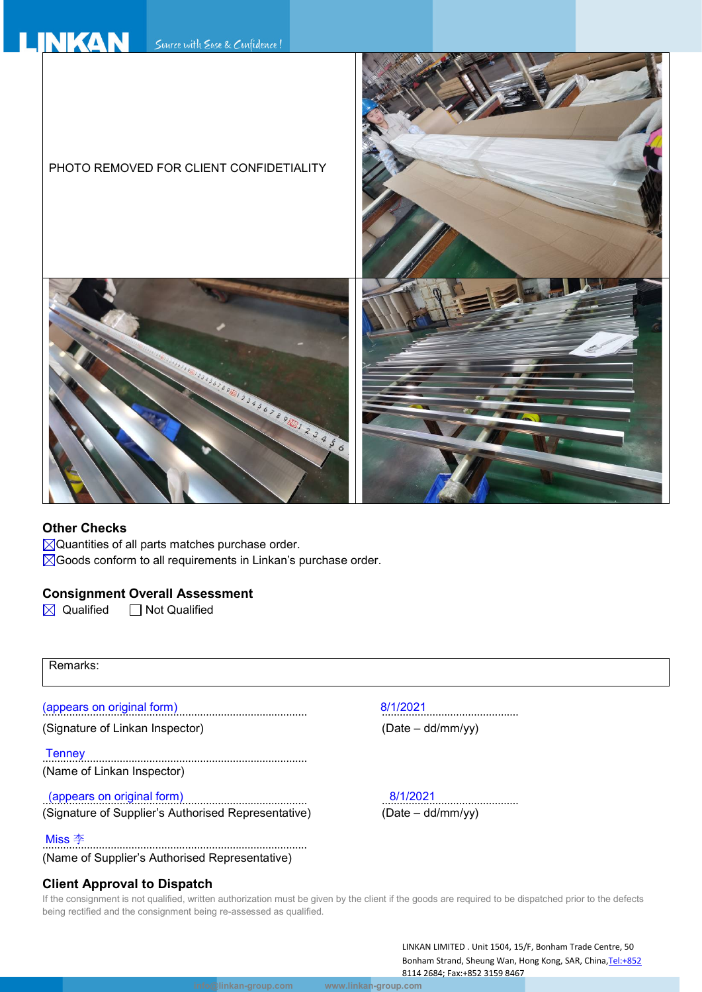

#### **Other Checks**

 $\boxtimes$ Quantities of all parts matches purchase order.

 $\boxtimes$  Goods conform to all requirements in Linkan's purchase order.

### **Consignment Overall Assessment**

 $\boxtimes$  Qualified  $\Box$  Not Qualified

Remarks:

(Signature of Linkan Inspector) (Date – dd/mm/yy)

Tenney ......................................................................................... (Name of Linkan Inspector)

(appears on original form) 8/1/2021 ......................................................................................... .............................................. (Signature of Supplier's Authorised Representative)

......................................................................................... Miss 李 (Name of Supplier's Authorised Representative)

### **Client Approval to Dispatch**

(appears on original form) 8/1/2021

If the consignment is not qualified, written authorization must be given by the client if the goods are required to be dispatched prior to the defects being rectified and the consignment being re-assessed as qualified.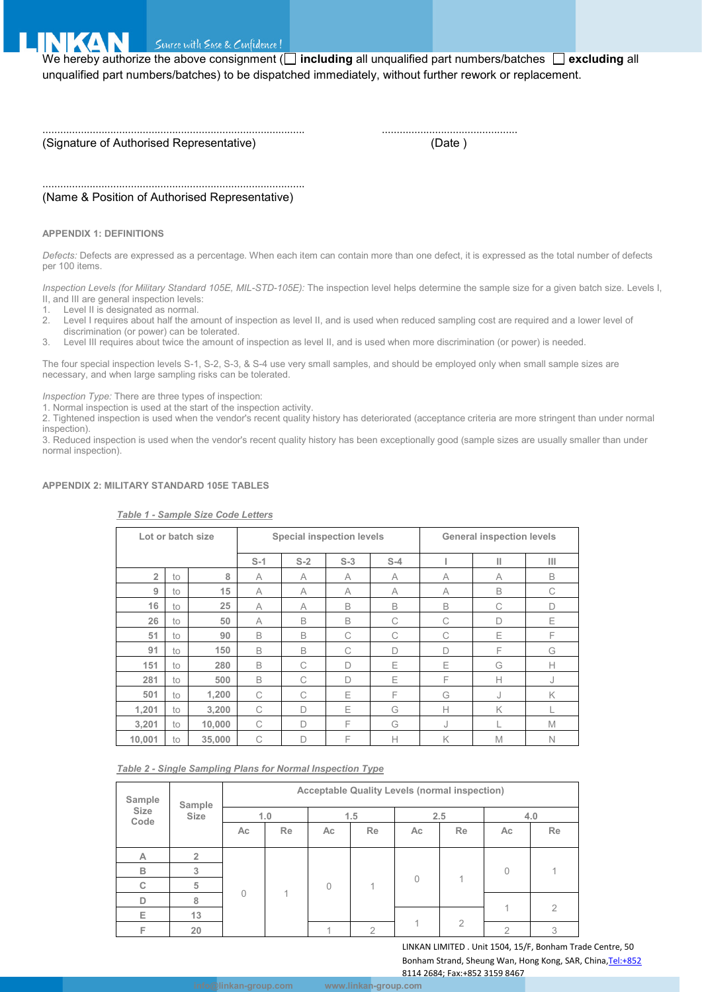

Suurce with Ease & Confidence!

We hereby authorize the above consignment (**including** all unqualified part numbers/batches **excluding** all unqualified part numbers/batches) to be dispatched immediately, without further rework or replacement.

(Signature of Authorised Representative) (Date )

......................................................................................... ..............................................

......................................................................................... (Name & Position of Authorised Representative)

#### **APPENDIX 1: DEFINITIONS**

*Defects:* Defects are expressed as a percentage. When each item can contain more than one defect, it is expressed as the total number of defects per 100 items.

*Inspection Levels (for Military Standard 105E, MIL-STD-105E):* The inspection level helps determine the sample size for a given batch size. Levels I, II, and III are general inspection levels:

- 1. Level II is designated as normal.<br>2. Level Lrequires about half the ar
- Level I requires about half the amount of inspection as level II, and is used when reduced sampling cost are required and a lower level of
- discrimination (or power) can be tolerated.

3. Level III requires about twice the amount of inspection as level II, and is used when more discrimination (or power) is needed.

The four special inspection levels S-1, S-2, S-3, & S-4 use very small samples, and should be employed only when small sample sizes are necessary, and when large sampling risks can be tolerated.

*Inspection Type:* There are three types of inspection:

1. Normal inspection is used at the start of the inspection activity.

2. Tightened inspection is used when the vendor's recent quality history has deteriorated (acceptance criteria are more stringent than under normal inspection).

3. Reduced inspection is used when the vendor's recent quality history has been exceptionally good (sample sizes are usually smaller than under normal inspection).

#### **APPENDIX 2: MILITARY STANDARD 105E TABLES**

| Lot or batch size |    |        | <b>Special inspection levels</b> |       |        |       | <b>General inspection levels</b> |   |              |
|-------------------|----|--------|----------------------------------|-------|--------|-------|----------------------------------|---|--------------|
|                   |    |        | $S-1$                            | $S-2$ | $S-3$  | $S-4$ |                                  | П | Ш            |
| $\overline{2}$    | to | 8      | A                                | A     | A      | A     | A                                | A | B            |
| 9                 | to | 15     | A                                | A     | A      | A     | A                                | B | C            |
| 16                | to | 25     | A                                | A     | B      | B     | B                                | C | D            |
| 26                | to | 50     | A                                | B     | B      | C     | C                                | D | Ε            |
| 51                | to | 90     | B                                | B     | C      | С     | C                                | Ε | F            |
| 91                | to | 150    | B                                | B     | C      | D     | $\Box$                           | F | G            |
| 151               | to | 280    | B                                | C     | $\Box$ | E     | Ε                                | G | $\mathsf{H}$ |
| 281               | to | 500    | B                                | C     | D      | Ε     | F                                | Н | J            |
| 501               | to | 1,200  | C                                | C     | Ε      | F     | G                                | J | K            |
| 1,201             | to | 3,200  | C                                | D     | Ε      | G     | $\mathsf{H}$                     | K |              |
| 3,201             | to | 10,000 | C                                | D     | F      | G     | J                                |   | M            |
| 10,001            | to | 35,000 | C                                | D     | F      | Н     | K                                | M | $\mathbb N$  |

#### *Table 1 - Sample Size Code Letters*

#### *Table 2 - Single Sampling Plans for Normal Inspection Type*

| Sample       | Sample         | <b>Acceptable Quality Levels (normal inspection)</b> |           |           |               |          |                |           |           |  |
|--------------|----------------|------------------------------------------------------|-----------|-----------|---------------|----------|----------------|-----------|-----------|--|
| Size<br>Code | Size           | 1.0                                                  |           | 1.5       |               | 2.5      |                | 4.0       |           |  |
|              |                | Ac                                                   | <b>Re</b> | Ac        | <b>Re</b>     | Ac       | Re             | Ac        | <b>Re</b> |  |
| A            | $\overline{2}$ | $\Omega$                                             |           |           |               | $\theta$ |                | $\bigcap$ |           |  |
| B            | 3              |                                                      |           |           |               |          |                |           |           |  |
| С            | 5              |                                                      |           | $\bigcap$ |               |          |                |           |           |  |
| D            | 8              |                                                      |           |           |               |          |                |           |           |  |
| Е            | 13             |                                                      |           |           |               |          |                |           |           |  |
| F            | 20             |                                                      |           |           | $\mathcal{P}$ |          | $\overline{2}$ | 2         | 3         |  |